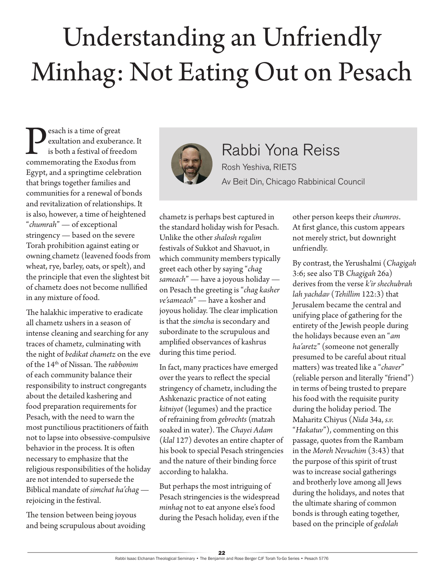## Understanding an Unfriendly Minhag: Not Eating Out on Pesach

**Performance** is a time of great exultation and exuberance. It is both a festival of freedom commemorating the Exodus from exultation and exuberance. It is both a festival of freedom Egypt, and a springtime celebration that brings together families and communities for a renewal of bonds and revitalization of relationships. It is also, however, a time of heightened "*chumrah*" — of exceptional stringency — based on the severe Torah prohibition against eating or owning chametz (leavened foods from wheat, rye, barley, oats, or spelt), and the principle that even the slightest bit of chametz does not become nullified in any mixture of food.

The halakhic imperative to eradicate all chametz ushers in a season of intense cleaning and searching for any traces of chametz, culminating with the night of *bedikat chametz* on the eve of the 14th of Nissan. The *rabbonim*  of each community balance their responsibility to instruct congregants about the detailed kashering and food preparation requirements for Pesach, with the need to warn the most punctilious practitioners of faith not to lapse into obsessive-compulsive behavior in the process. It is often necessary to emphasize that the religious responsibilities of the holiday are not intended to supersede the Biblical mandate of *simchat ha'chag* rejoicing in the festival.

The tension between being joyous and being scrupulous about avoiding



Rabbi Yona Reiss Rosh Yeshiva, RIETS Av Beit Din, Chicago Rabbinical Council

chametz is perhaps best captured in the standard holiday wish for Pesach. Unlike the other *shalosh regalim* festivals of Sukkot and Shavuot, in which community members typically greet each other by saying "*chag sameach*" — have a joyous holiday on Pesach the greeting is "*chag kasher ve'sameach*" — have a kosher and joyous holiday. The clear implication is that the *simcha* is secondary and subordinate to the scrupulous and amplified observances of kashrus during this time period.

In fact, many practices have emerged over the years to reflect the special stringency of chametz, including the Ashkenazic practice of not eating *kitniyot* (legumes) and the practice of refraining from *gebrochts* (matzah soaked in water). The *Chayei Adam* (*klal* 127) devotes an entire chapter of his book to special Pesach stringencies and the nature of their binding force according to halakha.

But perhaps the most intriguing of Pesach stringencies is the widespread *minhag* not to eat anyone else's food during the Pesach holiday, even if the

other person keeps their *chumros*. At first glance, this custom appears not merely strict, but downright unfriendly.

By contrast, the Yerushalmi (*Chagigah* 3:6; see also TB *Chagigah* 26a) derives from the verse *k'ir shechubrah lah yachdav* (*Tehillim* 122:3) that Jerusalem became the central and unifying place of gathering for the entirety of the Jewish people during the holidays because even an "*am ha'aretz*" (someone not generally presumed to be careful about ritual matters) was treated like a "*chaver*" (reliable person and literally "friend") in terms of being trusted to prepare his food with the requisite purity during the holiday period. The Maharitz Chiyus (*Nida* 34a, *s.v.* "*Hakatuv*"), commenting on this passage, quotes from the Rambam in the *Moreh Nevuchim* (3:43) that the purpose of this spirit of trust was to increase social gatherings and brotherly love among all Jews during the holidays, and notes that the ultimate sharing of common bonds is through eating together, based on the principle of *gedolah*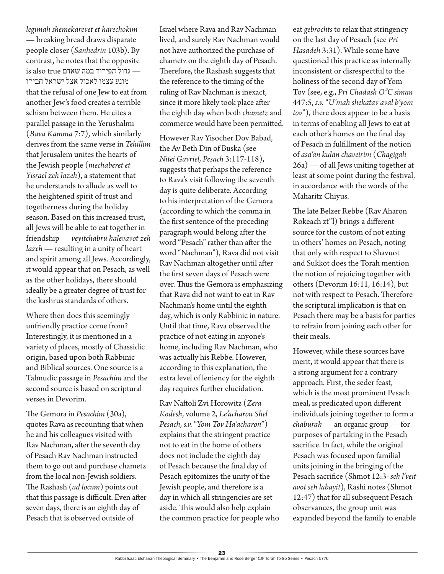*legimah shemekarevet et harechokim*

— breaking bread draws disparate people closer (*Sanhedrin* 103b). By contrast, he notes that the opposite  $\,$ is also true אדול הפירוד במה שאדם $-$  — מונע עצמו לאכול אצל ישראל חבירו that the refusal of one Jew to eat from another Jew's food creates a terrible schism between them. He cites a parallel passage in the Yerushalmi (*Bava Kamma* 7:7), which similarly derives from the same verse in *Tehillim* that Jerusalem unites the hearts of the Jewish people (*mechaberet et Yisrael zeh lazeh*), a statement that he understands to allude as well to the heightened spirit of trust and togetherness during the holiday season. Based on this increased trust, all Jews will be able to eat together in friendship — *veyitchabru halevavot zeh lazeh* — resulting in a unity of heart and spirit among all Jews. Accordingly, it would appear that on Pesach, as well as the other holidays, there should ideally be a greater degree of trust for the kashrus standards of others.

Where then does this seemingly unfriendly practice come from? Interestingly, it is mentioned in a variety of places, mostly of Chassidic origin, based upon both Rabbinic and Biblical sources. One source is a Talmudic passage in *Pesachim* and the second source is based on scriptural verses in Devorim.

The Gemora in *Pesachim* (30a), quotes Rava as recounting that when he and his colleagues visited with Rav Nachman, after the seventh day of Pesach Rav Nachman instructed them to go out and purchase chametz from the local non-Jewish soldiers. The Rashash (*ad locum*) points out that this passage is difficult. Even after seven days, there is an eighth day of Pesach that is observed outside of

Israel where Rava and Rav Nachman lived, and surely Rav Nachman would not have authorized the purchase of chametz on the eighth day of Pesach. Therefore, the Rashash suggests that the reference to the timing of the ruling of Rav Nachman is inexact, since it more likely took place after the eighth day when both *chametz* and commerce would have been permitted.

However Rav Yisocher Dov Babad, the Av Beth Din of Buska (see *Nitei Gavriel, Pesach* 3:117-118), suggests that perhaps the reference to Rava's visit following the seventh day is quite deliberate. According to his interpretation of the Gemora (according to which the comma in the first sentence of the preceding paragraph would belong after the word "Pesach" rather than after the word "Nachman"), Rava did not visit Rav Nachman altogether until after the first seven days of Pesach were over. Thus the Gemora is emphasizing that Rava did not want to eat in Rav Nachman's home until the eighth day, which is only Rabbinic in nature. Until that time, Rava observed the practice of not eating in anyone's home, including Rav Nachman, who was actually his Rebbe. However, according to this explanation, the extra level of leniency for the eighth day requires further elucidation.

Rav Naftoli Zvi Horowitz (*Zera Kodesh*, volume 2, *Le'acharon Shel Pesach, s.v.* "*Yom Tov Ha'acharon*") explains that the stringent practice not to eat in the home of others does not include the eighth day of Pesach because the final day of Pesach epitomizes the unity of the Jewish people, and therefore is a day in which all stringencies are set aside. This would also help explain the common practice for people who eat *gebrochts* to relax that stringency on the last day of Pesach (see *Pri Hasadeh* 3:31). While some have questioned this practice as internally inconsistent or disrespectful to the holiness of the second day of Yom Tov (see, e.g., *Pri Chadash O"C siman* 447:5, *s.v.* "*U'mah shekatav aval b'yom tov*"), there does appear to be a basis in terms of enabling all Jews to eat at each other's homes on the final day of Pesach in fulfillment of the notion of *asa'an kulan chaveirim* (*Chagigah* 26a) — of all Jews uniting together at least at some point during the festival, in accordance with the words of the Maharitz Chiyus.

The late Belzer Rebbe (Rav Aharon Rokeach zt"l) brings a different source for the custom of not eating in others' homes on Pesach, noting that only with respect to Shavuot and Sukkot does the Torah mention the notion of rejoicing together with others (Devorim 16:11, 16:14), but not with respect to Pesach. Therefore the scriptural implication is that on Pesach there may be a basis for parties to refrain from joining each other for their meals.

However, while these sources have merit, it would appear that there is a strong argument for a contrary approach. First, the seder feast, which is the most prominent Pesach meal, is predicated upon different individuals joining together to form a *chaburah* — an organic group — for purposes of partaking in the Pesach sacrifice. In fact, while the original Pesach was focused upon familial units joining in the bringing of the Pesach sacrifice (Shmot 12:3- *seh l'veit avot seh labayit*), Rashi notes (Shmot 12:47) that for all subsequent Pesach observances, the group unit was expanded beyond the family to enable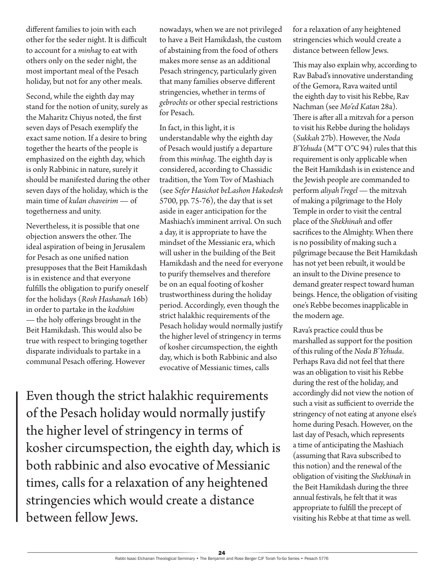different families to join with each other for the seder night. It is difficult to account for a *minhag* to eat with others only on the seder night, the most important meal of the Pesach holiday, but not for any other meals.

Second, while the eighth day may stand for the notion of unity, surely as the Maharitz Chiyus noted, the first seven days of Pesach exemplify the exact same notion. If a desire to bring together the hearts of the people is emphasized on the eighth day, which is only Rabbinic in nature, surely it should be manifested during the other seven days of the holiday, which is the main time of *kulan chaveirim* — of togetherness and unity.

Nevertheless, it is possible that one objection answers the other. The ideal aspiration of being in Jerusalem for Pesach as one unified nation presupposes that the Beit Hamikdash is in existence and that everyone fulfills the obligation to purify oneself for the holidays (*Rosh Hashanah* 16b) in order to partake in the *kodshim* — the holy offerings brought in the Beit Hamikdash. This would also be true with respect to bringing together disparate individuals to partake in a communal Pesach offering. However

nowadays, when we are not privileged to have a Beit Hamikdash, the custom of abstaining from the food of others makes more sense as an additional Pesach stringency, particularly given that many families observe different stringencies, whether in terms of *gebrochts* or other special restrictions for Pesach.

In fact, in this light, it is understandable why the eighth day of Pesach would justify a departure from this *minhag*. The eighth day is considered, according to Chassidic tradition, the Yom Tov of Mashiach (see *Sefer Hasichot beLashon Hakodesh*  5700, pp. 75-76), the day that is set aside in eager anticipation for the Mashiach's imminent arrival. On such a day, it is appropriate to have the mindset of the Messianic era, which will usher in the building of the Beit Hamikdash and the need for everyone to purify themselves and therefore be on an equal footing of kosher trustworthiness during the holiday period. Accordingly, even though the strict halakhic requirements of the Pesach holiday would normally justify the higher level of stringency in terms of kosher circumspection, the eighth day, which is both Rabbinic and also evocative of Messianic times, calls

Even though the strict halakhic requirements of the Pesach holiday would normally justify the higher level of stringency in terms of kosher circumspection, the eighth day, which is both rabbinic and also evocative of Messianic times, calls for a relaxation of any heightened stringencies which would create a distance between fellow Jews.

for a relaxation of any heightened stringencies which would create a distance between fellow Jews.

This may also explain why, according to Rav Babad's innovative understanding of the Gemora, Rava waited until the eighth day to visit his Rebbe, Rav Nachman (see *Mo'ed Katan* 28a). There is after all a mitzvah for a person to visit his Rebbe during the holidays (*Sukkah* 27b). However, the *Noda B'Yehuda* (M"T O"C 94) rules that this requirement is only applicable when the Beit Hamikdash is in existence and the Jewish people are commanded to perform *aliyah l'regel* — the mitzvah of making a pilgrimage to the Holy Temple in order to visit the central place of the *Shekhinah* and offer sacrifices to the Almighty. When there is no possibility of making such a pilgrimage because the Beit Hamikdash has not yet been rebuilt, it would be an insult to the Divine presence to demand greater respect toward human beings. Hence, the obligation of visiting one's Rebbe becomes inapplicable in the modern age.

Rava's practice could thus be marshalled as support for the position of this ruling of the *Noda B'Yehuda*. Perhaps Rava did not feel that there was an obligation to visit his Rebbe during the rest of the holiday, and accordingly did not view the notion of such a visit as sufficient to override the stringency of not eating at anyone else's home during Pesach. However, on the last day of Pesach, which represents a time of anticipating the Mashiach (assuming that Rava subscribed to this notion) and the renewal of the obligation of visiting the *Shekhinah* in the Beit Hamikdash during the three annual festivals, he felt that it was appropriate to fulfill the precept of visiting his Rebbe at that time as well.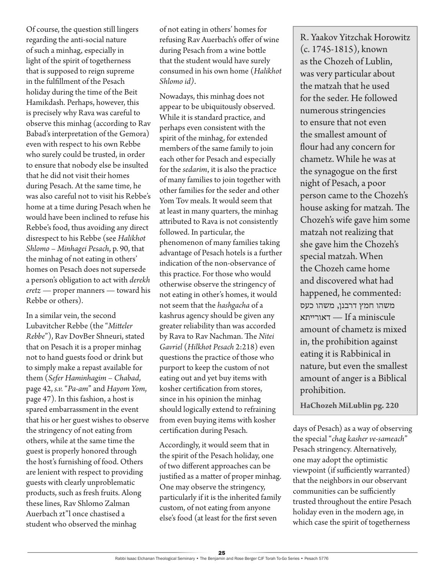Of course, the question still lingers regarding the anti-social nature of such a minhag*,* especially in light of the spirit of togetherness that is supposed to reign supreme in the fulfillment of the Pesach holiday during the time of the Beit Hamikdash. Perhaps, however, this is precisely why Rava was careful to observe this minhag (according to Rav Babad's interpretation of the Gemora) even with respect to his own Rebbe who surely could be trusted, in order to ensure that nobody else be insulted that he did not visit their homes during Pesach. At the same time, he was also careful not to visit his Rebbe's home at a time during Pesach when he would have been inclined to refuse his Rebbe's food, thus avoiding any direct disrespect to his Rebbe (see *Halikhot Shlomo – Minhagei Pesach*, p. 90, that the minhag of not eating in others' homes on Pesach does not supersede a person's obligation to act with *derekh eretz —* proper manners — toward his Rebbe or others).

In a similar vein, the second Lubavitcher Rebbe (the "*Mitteler Rebbe*"), Rav DovBer Shneuri, stated that on Pesach it is a proper minhag not to hand guests food or drink but to simply make a repast available for them (*Sefer Haminhagim – Chabad*, page 42, *s.v.* "*Pa-am*" and *Hayom Yom*, page 47). In this fashion, a host is spared embarrassment in the event that his or her guest wishes to observe the stringency of not eating from others, while at the same time the guest is properly honored through the host's furnishing of food. Others are lenient with respect to providing guests with clearly unproblematic products, such as fresh fruits. Along these lines, Rav Shlomo Zalman Auerbach zt"l once chastised a student who observed the minhag

of not eating in others' homes for refusing Rav Auerbach's offer of wine during Pesach from a wine bottle that the student would have surely consumed in his own home (*Halikhot Shlomo id)*.

Nowadays, this minhag does not appear to be ubiquitously observed. While it is standard practice, and perhaps even consistent with the spirit of the minhag, for extended members of the same family to join each other for Pesach and especially for the *sedarim*, it is also the practice of many families to join together with other families for the seder and other Yom Tov meals. It would seem that at least in many quarters, the minhag attributed to Rava is not consistently followed. In particular, the phenomenon of many families taking advantage of Pesach hotels is a further indication of the non-observance of this practice. For those who would otherwise observe the stringency of not eating in other's homes, it would not seem that the *hashgacha* of a kashrus agency should be given any greater reliability than was accorded by Rava to Rav Nachman. The *Nitei Gavriel* (*Hilkhot Pesach* 2:218) even questions the practice of those who purport to keep the custom of not eating out and yet buy items with kosher certification from stores, since in his opinion the minhag should logically extend to refraining from even buying items with kosher certification during Pesach.

Accordingly, it would seem that in the spirit of the Pesach holiday, one of two different approaches can be justified as a matter of proper minhag. One may observe the stringency, particularly if it is the inherited family custom, of not eating from anyone else's food (at least for the first seven

R. Yaakov Yitzchak Horowitz (c. 1745-1815), known as the Chozeh of Lublin, was very particular about the matzah that he used for the seder. He followed numerous stringencies to ensure that not even the smallest amount of flour had any concern for chametz. While he was at the synagogue on the first night of Pesach, a poor person came to the Chozeh's house asking for matzah. The Chozeh's wife gave him some matzah not realizing that she gave him the Chozeh's special matzah. When the Chozeh came home and discovered what had happened, he commented: משהו חמץ דרבנן, משהו כעס דאורייתא — If a miniscule amount of chametz is mixed in, the prohibition against eating it is Rabbinical in nature, but even the smallest amount of anger is a Biblical prohibition.

**HaChozeh MiLublin pg. 220**

days of Pesach) as a way of observing the special "*chag kasher ve-sameach*" Pesach stringency. Alternatively, one may adopt the optimistic viewpoint (if sufficiently warranted) that the neighbors in our observant communities can be sufficiently trusted throughout the entire Pesach holiday even in the modern age, in which case the spirit of togetherness